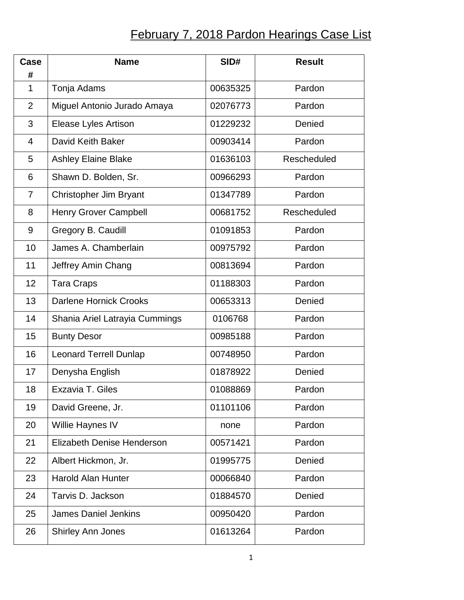## **February 7, 2018 Pardon Hearings Case List**

| Case<br>#      | <b>Name</b>                       | SID#     | <b>Result</b> |
|----------------|-----------------------------------|----------|---------------|
| 1              | Tonja Adams                       | 00635325 | Pardon        |
| $\overline{2}$ | Miguel Antonio Jurado Amaya       | 02076773 | Pardon        |
| 3              | Elease Lyles Artison              | 01229232 | Denied        |
| $\overline{4}$ | David Keith Baker                 | 00903414 | Pardon        |
| 5              | Ashley Elaine Blake               | 01636103 | Rescheduled   |
| 6              | Shawn D. Bolden, Sr.              | 00966293 | Pardon        |
| 7              | Christopher Jim Bryant            | 01347789 | Pardon        |
| 8              | Henry Grover Campbell             | 00681752 | Rescheduled   |
| 9              | Gregory B. Caudill                | 01091853 | Pardon        |
| 10             | James A. Chamberlain              | 00975792 | Pardon        |
| 11             | Jeffrey Amin Chang                | 00813694 | Pardon        |
| 12             | <b>Tara Craps</b>                 | 01188303 | Pardon        |
| 13             | <b>Darlene Hornick Crooks</b>     | 00653313 | Denied        |
| 14             | Shania Ariel Latrayia Cummings    | 0106768  | Pardon        |
| 15             | <b>Bunty Desor</b>                | 00985188 | Pardon        |
| 16             | <b>Leonard Terrell Dunlap</b>     | 00748950 | Pardon        |
| 17             | Denysha English                   | 01878922 | Denied        |
| 18             | Exzavia T. Giles                  | 01088869 | Pardon        |
| 19             | David Greene, Jr.                 | 01101106 | Pardon        |
| 20             | Willie Haynes IV                  | none     | Pardon        |
| 21             | <b>Elizabeth Denise Henderson</b> | 00571421 | Pardon        |
| 22             | Albert Hickmon, Jr.               | 01995775 | Denied        |
| 23             | <b>Harold Alan Hunter</b>         | 00066840 | Pardon        |
| 24             | Tarvis D. Jackson                 | 01884570 | Denied        |
| 25             | <b>James Daniel Jenkins</b>       | 00950420 | Pardon        |
| 26             | <b>Shirley Ann Jones</b>          | 01613264 | Pardon        |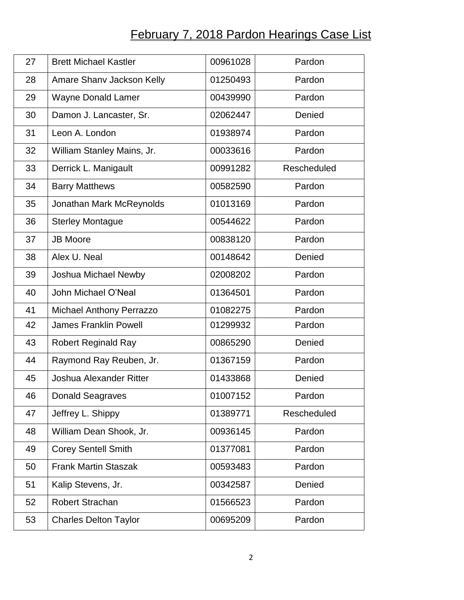## **February 7, 2018 Pardon Hearings Case List**

| 27 | <b>Brett Michael Kastler</b>   | 00961028 | Pardon             |
|----|--------------------------------|----------|--------------------|
| 28 | Amare Shanv Jackson Kelly      | 01250493 | Pardon             |
| 29 | <b>Wayne Donald Lamer</b>      | 00439990 | Pardon             |
| 30 | Damon J. Lancaster, Sr.        | 02062447 | Denied             |
| 31 | Leon A. London                 | 01938974 | Pardon             |
| 32 | William Stanley Mains, Jr.     | 00033616 | Pardon             |
| 33 | Derrick L. Manigault           | 00991282 | Rescheduled        |
| 34 | <b>Barry Matthews</b>          | 00582590 | Pardon             |
| 35 | Jonathan Mark McReynolds       | 01013169 | Pardon             |
| 36 | <b>Sterley Montague</b>        | 00544622 | Pardon             |
| 37 | <b>JB Moore</b>                | 00838120 | Pardon             |
| 38 | Alex U. Neal                   | 00148642 | Denied             |
| 39 | Joshua Michael Newby           | 02008202 | Pardon             |
| 40 | John Michael O'Neal            | 01364501 | Pardon             |
| 41 | Michael Anthony Perrazzo       | 01082275 | Pardon             |
| 42 | <b>James Franklin Powell</b>   | 01299932 | Pardon             |
| 43 | <b>Robert Reginald Ray</b>     | 00865290 | Denied             |
| 44 | Raymond Ray Reuben, Jr.        | 01367159 | Pardon             |
| 45 | <b>Joshua Alexander Ritter</b> | 01433868 | Denied             |
| 46 | <b>Donald Seagraves</b>        | 01007152 | Pardon             |
| 47 | Jeffrey L. Shippy              | 01389771 | <b>Rescheduled</b> |
| 48 | William Dean Shook, Jr.        | 00936145 | Pardon             |
| 49 | <b>Corey Sentell Smith</b>     | 01377081 | Pardon             |
| 50 | <b>Frank Martin Staszak</b>    | 00593483 | Pardon             |
| 51 | Kalip Stevens, Jr.             | 00342587 | Denied             |
| 52 | <b>Robert Strachan</b>         | 01566523 | Pardon             |
| 53 | <b>Charles Delton Taylor</b>   | 00695209 | Pardon             |